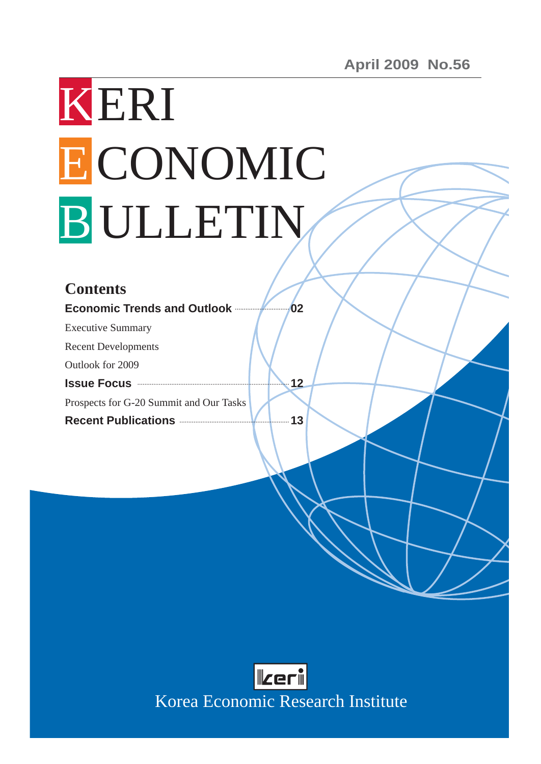# KERI ECONOMIC B ULLETIN

## **Contents**

**Economic Trends and Outlook 02**

Executive Summary

Recent Developments

Outlook for 2009

**Issue Focus 12**

Prospects for G-20 Summit and Our Tasks

**Recent Publications 13**



Korea Economic Research Institute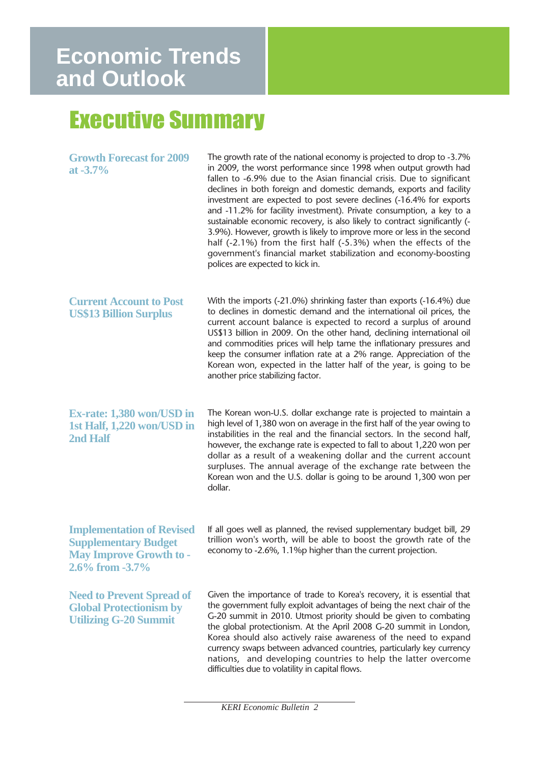# Executive Summary

| <b>Growth Forecast for 2009</b><br>at $-3.7\%$                                                                             | The growth rate of the national economy is projected to drop to -3.7%<br>in 2009, the worst performance since 1998 when output growth had<br>fallen to -6.9% due to the Asian financial crisis. Due to significant<br>declines in both foreign and domestic demands, exports and facility<br>investment are expected to post severe declines (-16.4% for exports<br>and -11.2% for facility investment). Private consumption, a key to a<br>sustainable economic recovery, is also likely to contract significantly (-<br>3.9%). However, growth is likely to improve more or less in the second<br>half (-2.1%) from the first half (-5.3%) when the effects of the<br>government's financial market stabilization and economy-boosting<br>polices are expected to kick in. |
|----------------------------------------------------------------------------------------------------------------------------|------------------------------------------------------------------------------------------------------------------------------------------------------------------------------------------------------------------------------------------------------------------------------------------------------------------------------------------------------------------------------------------------------------------------------------------------------------------------------------------------------------------------------------------------------------------------------------------------------------------------------------------------------------------------------------------------------------------------------------------------------------------------------|
| <b>Current Account to Post</b><br><b>US\$13 Billion Surplus</b>                                                            | With the imports (-21.0%) shrinking faster than exports (-16.4%) due<br>to declines in domestic demand and the international oil prices, the<br>current account balance is expected to record a surplus of around<br>US\$13 billion in 2009. On the other hand, declining international oil<br>and commodities prices will help tame the inflationary pressures and<br>keep the consumer inflation rate at a 2% range. Appreciation of the<br>Korean won, expected in the latter half of the year, is going to be<br>another price stabilizing factor.                                                                                                                                                                                                                       |
| <b>Ex-rate: 1,380 won/USD in</b><br>1st Half, 1,220 won/USD in<br>2nd Half                                                 | The Korean won-U.S. dollar exchange rate is projected to maintain a<br>high level of 1,380 won on average in the first half of the year owing to<br>instabilities in the real and the financial sectors. In the second half,<br>however, the exchange rate is expected to fall to about 1,220 won per<br>dollar as a result of a weakening dollar and the current account<br>surpluses. The annual average of the exchange rate between the<br>Korean won and the U.S. dollar is going to be around 1,300 won per<br>dollar.                                                                                                                                                                                                                                                 |
| <b>Implementation of Revised</b><br><b>Supplementary Budget</b><br><b>May Improve Growth to -</b><br>$2.6\%$ from $-3.7\%$ | If all goes well as planned, the revised supplementary budget bill, 29<br>trillion won's worth, will be able to boost the growth rate of the<br>economy to -2.6%, 1.1%p higher than the current projection.                                                                                                                                                                                                                                                                                                                                                                                                                                                                                                                                                                  |
| <b>Need to Prevent Spread of</b><br><b>Global Protectionism by</b><br><b>Utilizing G-20 Summit</b>                         | Given the importance of trade to Korea's recovery, it is essential that<br>the government fully exploit advantages of being the next chair of the<br>G-20 summit in 2010. Utmost priority should be given to combating<br>the global protectionism. At the April 2008 G-20 summit in London,<br>Korea should also actively raise awareness of the need to expand<br>currency swaps between advanced countries, particularly key currency<br>nations, and developing countries to help the latter overcome<br>difficulties due to volatility in capital flows.                                                                                                                                                                                                                |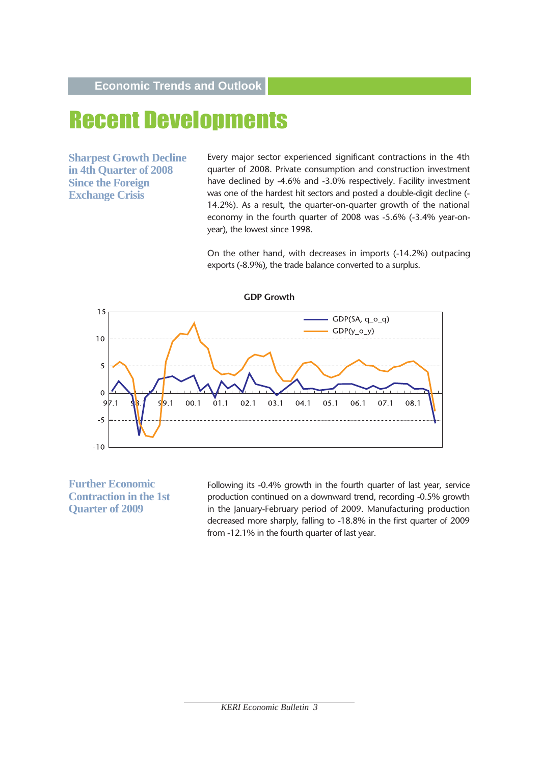# Recent Developments

**Sharpest Growth Decline in 4th Quarter of 2008 Since the Foreign Exchange Crisis**

Every major sector experienced significant contractions in the 4th quarter of 2008. Private consumption and construction investment have declined by -4.6% and -3.0% respectively. Facility investment was one of the hardest hit sectors and posted a double-digit decline (- 14.2%). As a result, the quarter-on-quarter growth of the national economy in the fourth quarter of 2008 was -5.6% (-3.4% year-onyear), the lowest since 1998.

On the other hand, with decreases in imports (-14.2%) outpacing exports (-8.9%), the trade balance converted to a surplus.



**Further Economic Contraction in the 1st Quarter of 2009**

Following its -0.4% growth in the fourth quarter of last year, service production continued on a downward trend, recording -0.5% growth in the January-February period of 2009. Manufacturing production decreased more sharply, falling to -18.8% in the first quarter of 2009 from -12.1% in the fourth quarter of last year.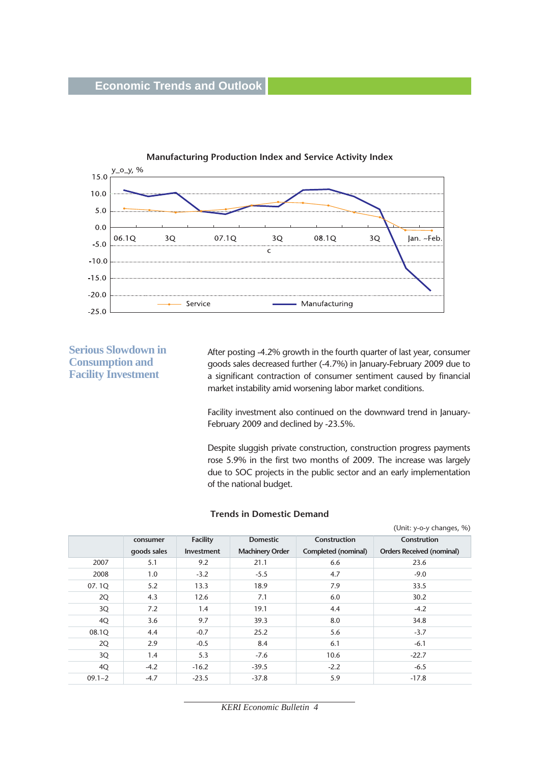

**Serious Slowdown in Consumption and Facility Investment** 

After posting -4.2% growth in the fourth quarter of last year, consumer goods sales decreased further (-4.7%) in January-February 2009 due to a significant contraction of consumer sentiment caused by financial market instability amid worsening labor market conditions.

Facility investment also continued on the downward trend in January-February 2009 and declined by -23.5%.

Despite sluggish private construction, construction progress payments rose 5.9% in the first two months of 2009. The increase was largely due to SOC projects in the public sector and an early implementation of the national budget.

#### **Trends in Domestic Demand**

|            |             |                   |                        |                     | (Unit: y-o-y changes, %)         |
|------------|-------------|-------------------|------------------------|---------------------|----------------------------------|
|            | consumer    | <b>Facility</b>   | <b>Domestic</b>        | Construction        | Constrution                      |
|            | goods sales | <b>Investment</b> | <b>Machinery Order</b> | Completed (nominal) | <b>Orders Received (nominal)</b> |
| 2007       | 5.1         | 9.2               | 21.1                   | 6.6                 | 23.6                             |
| 2008       | 1.0         | $-3.2$            | $-5.5$                 | 4.7                 | $-9.0$                           |
| 07.1Q      | 5.2         | 13.3              | 18.9                   | 7.9                 | 33.5                             |
| 2Q         | 4.3         | 12.6              | 7.1                    | 6.0                 | 30.2                             |
| 3Q         | 7.2         | 1.4               | 19.1                   | 4.4                 | $-4.2$                           |
| 4Q         | 3.6         | 9.7               | 39.3                   | 8.0                 | 34.8                             |
| 08.1Q      | 4.4         | $-0.7$            | 25.2                   | 5.6                 | $-3.7$                           |
| 2Q         | 2.9         | $-0.5$            | 8.4                    | 6.1                 | $-6.1$                           |
| 3Q         | 1.4         | 5.3               | $-7.6$                 | 10.6                | $-22.7$                          |
| 4Q         | $-4.2$      | $-16.2$           | $-39.5$                | $-2.2$              | $-6.5$                           |
| $09.1 - 2$ | $-4.7$      | $-23.5$           | $-37.8$                | 5.9                 | $-17.8$                          |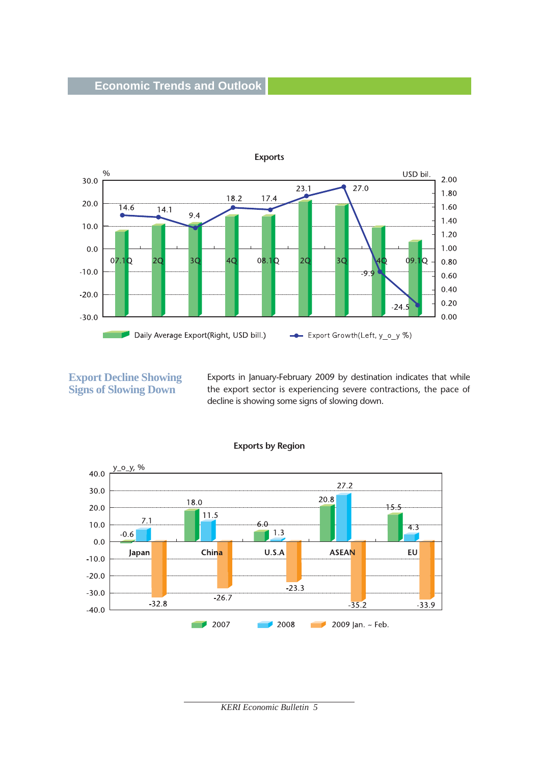

**Export Decline Showing Signs of Slowing Down** 

Exports in January-February 2009 by destination indicates that while the export sector is experiencing severe contractions, the pace of decline is showing some signs of slowing down.



**Exports by Region**

*KERI Economic Bulletin 5*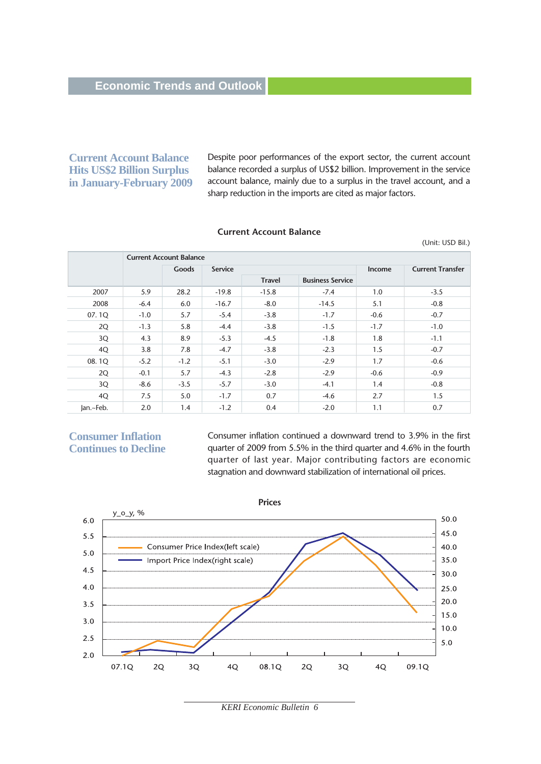#### **Current Account Balance Hits US\$2 Billion Surplus in January-February 2009**

Despite poor performances of the export sector, the current account balance recorded a surplus of US\$2 billion. Improvement in the service account balance, mainly due to a surplus in the travel account, and a sharp reduction in the imports are cited as major factors.

(Unit: USD Bil.)

#### **Current Account Balance**

**Current Account Balance Goods** Service **Income Current Transfer Travel Business Service** 2007 5.9 28.2 -19.8 -15.8 -7.4 1.0 -3.5 2008 -6.4 6.0 -16.7 -8.0 -14.5 5.1 -0.8 07. 1Q -1.0 5.7 -5.4 -3.8 -1.7 -0.6 -0.7  $2Q \t\t -1.3 \t 5.8 \t -4.4 \t -3.8 \t -1.5 \t -1.7 \t -1.0$  $3Q$  4.3 8.9 -5.3 -4.5 -1.8 1.8 1.8 -1.1  $4Q$  3.8 7.8 -4.7 -3.8 -2.3 1.5 -0.7 08. 1Q  $-5.2$   $-1.2$   $-5.1$   $-3.0$   $-2.9$   $1.7$   $-0.6$  $2Q \t -0.1 \t 5.7 \t -4.3 \t -2.8 \t -2.9 \t -0.6 \t -0.9$  $3Q \t -8.6 \t -3.5 \t -5.7 \t -3.0 \t -4.1 \t 1.4 \t -0.8$ 4Q 7.5 5.0 -1.7 0.7 -4.6 2.7 1.5 Jan.~Feb. 2.0 1.4 -1.2 0.4 -2.0 1.1 0.7

#### **Consumer Inflation Continues to Decline**

Consumer inflation continued a downward trend to 3.9% in the first quarter of 2009 from 5.5% in the third quarter and 4.6% in the fourth quarter of last year. Major contributing factors are economic stagnation and downward stabilization of international oil prices.



*KERI Economic Bulletin 6*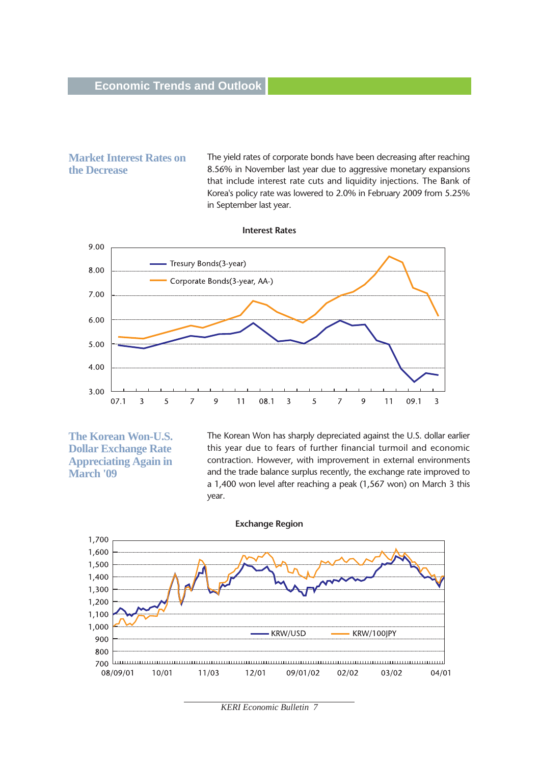#### **Market Interest Rates on the Decrease**

The yield rates of corporate bonds have been decreasing after reaching 8.56% in November last year due to aggressive monetary expansions that include interest rate cuts and liquidity injections. The Bank of Korea's policy rate was lowered to 2.0% in February 2009 from 5.25% in September last year.



**The Korean Won-U.S. Dollar Exchange Rate Appreciating Again in March '09**

The Korean Won has sharply depreciated against the U.S. dollar earlier this year due to fears of further financial turmoil and economic contraction. However, with improvement in external environments and the trade balance surplus recently, the exchange rate improved to a 1,400 won level after reaching a peak (1,567 won) on March 3 this year.



*KERI Economic Bulletin 7*

#### **Interest Rates**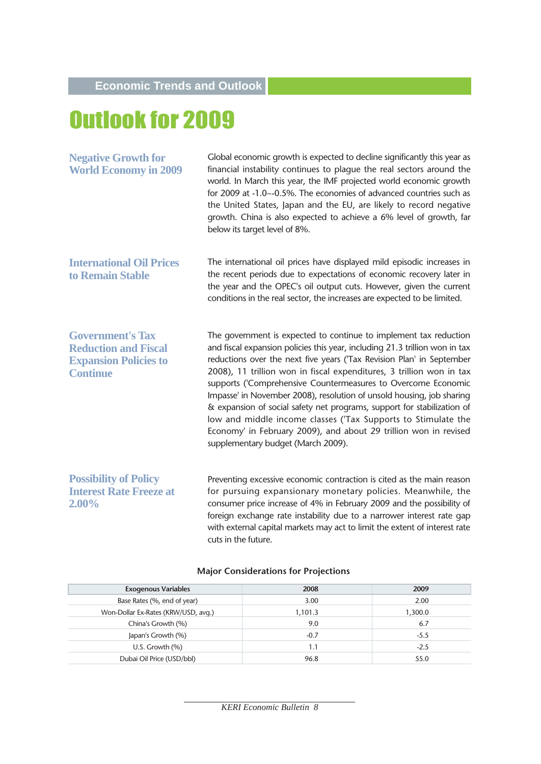# Outlook for 2009

| <b>Negative Growth for</b><br><b>World Economy in 2009</b>                                                | Global economic growth is expected to decline significantly this year as<br>financial instability continues to plague the real sectors around the<br>world. In March this year, the IMF projected world economic growth<br>for 2009 at -1.0~-0.5%. The economies of advanced countries such as<br>the United States, Japan and the EU, are likely to record negative<br>growth. China is also expected to achieve a 6% level of growth, far<br>below its target level of 8%.                                                                                                                                                                                                                      |
|-----------------------------------------------------------------------------------------------------------|---------------------------------------------------------------------------------------------------------------------------------------------------------------------------------------------------------------------------------------------------------------------------------------------------------------------------------------------------------------------------------------------------------------------------------------------------------------------------------------------------------------------------------------------------------------------------------------------------------------------------------------------------------------------------------------------------|
| <b>International Oil Prices</b><br>to Remain Stable                                                       | The international oil prices have displayed mild episodic increases in<br>the recent periods due to expectations of economic recovery later in<br>the year and the OPEC's oil output cuts. However, given the current<br>conditions in the real sector, the increases are expected to be limited.                                                                                                                                                                                                                                                                                                                                                                                                 |
| <b>Government's Tax</b><br><b>Reduction and Fiscal</b><br><b>Expansion Policies to</b><br><b>Continue</b> | The government is expected to continue to implement tax reduction<br>and fiscal expansion policies this year, including 21.3 trillion won in tax<br>reductions over the next five years ('Tax Revision Plan' in September<br>2008), 11 trillion won in fiscal expenditures, 3 trillion won in tax<br>supports ('Comprehensive Countermeasures to Overcome Economic<br>Impasse' in November 2008), resolution of unsold housing, job sharing<br>& expansion of social safety net programs, support for stabilization of<br>low and middle income classes ('Tax Supports to Stimulate the<br>Economy' in February 2009), and about 29 trillion won in revised<br>supplementary budget (March 2009). |
| <b>Possibility of Policy</b><br><b>Interest Rate Freeze at</b><br>2.00%                                   | Preventing excessive economic contraction is cited as the main reason<br>for pursuing expansionary monetary policies. Meanwhile, the<br>consumer price increase of 4% in February 2009 and the possibility of<br>foreign exchange rate instability due to a narrower interest rate gap<br>with external capital markets may act to limit the extent of interest rate                                                                                                                                                                                                                                                                                                                              |

| <b>Exogenous Variables</b>          | 2008    | 2009    |
|-------------------------------------|---------|---------|
| Base Rates (%, end of year)         | 3.00    | 2.00    |
| Won-Dollar Ex-Rates (KRW/USD, avg.) | 1,101.3 | 1,300.0 |
| China's Growth (%)                  | 9.0     | 6.7     |
| Japan's Growth (%)                  | $-0.7$  | $-5.5$  |
| U.S. Growth $(%)$                   | 1.1     | $-2.5$  |
| Dubai Oil Price (USD/bbl)           | 96.8    | 55.0    |
|                                     |         |         |

#### **Major Considerations for Projections**

cuts in the future.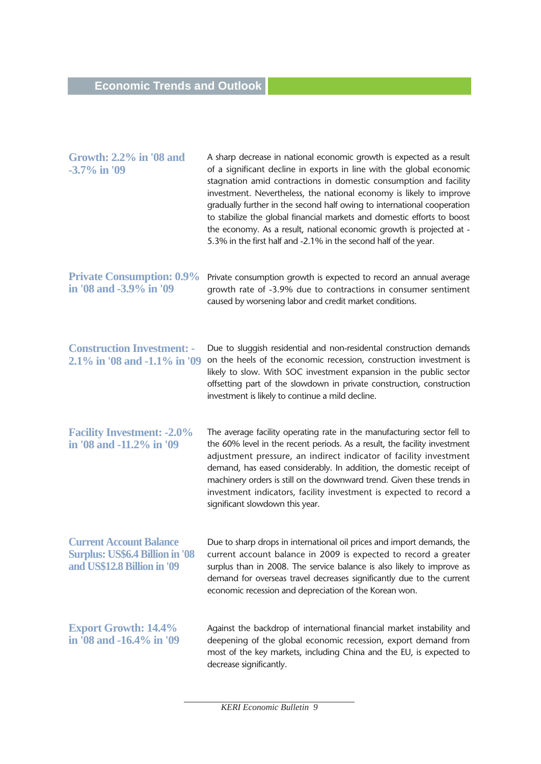| <b>Growth: 2.2% in '08 and</b><br>$-3.7\%$ in '09                                                       | A sharp decrease in national economic growth is expected as a result<br>of a significant decline in exports in line with the global economic<br>stagnation amid contractions in domestic consumption and facility<br>investment. Nevertheless, the national economy is likely to improve<br>gradually further in the second half owing to international cooperation<br>to stabilize the global financial markets and domestic efforts to boost<br>the economy. As a result, national economic growth is projected at -<br>5.3% in the first half and -2.1% in the second half of the year. |
|---------------------------------------------------------------------------------------------------------|--------------------------------------------------------------------------------------------------------------------------------------------------------------------------------------------------------------------------------------------------------------------------------------------------------------------------------------------------------------------------------------------------------------------------------------------------------------------------------------------------------------------------------------------------------------------------------------------|
| <b>Private Consumption: 0.9%</b><br>in '08 and -3.9% in '09                                             | Private consumption growth is expected to record an annual average<br>growth rate of -3.9% due to contractions in consumer sentiment<br>caused by worsening labor and credit market conditions.                                                                                                                                                                                                                                                                                                                                                                                            |
| <b>Construction Investment: -</b><br>2.1% in '08 and -1.1% in '09                                       | Due to sluggish residential and non-residental construction demands<br>on the heels of the economic recession, construction investment is<br>likely to slow. With SOC investment expansion in the public sector<br>offsetting part of the slowdown in private construction, construction<br>investment is likely to continue a mild decline.                                                                                                                                                                                                                                               |
| <b>Facility Investment: -2.0%</b><br>in '08 and -11.2% in '09                                           | The average facility operating rate in the manufacturing sector fell to<br>the 60% level in the recent periods. As a result, the facility investment<br>adjustment pressure, an indirect indicator of facility investment<br>demand, has eased considerably. In addition, the domestic receipt of<br>machinery orders is still on the downward trend. Given these trends in<br>investment indicators, facility investment is expected to record a<br>significant slowdown this year.                                                                                                       |
| <b>Current Account Balance</b><br><b>Surplus: US\$6.4 Billion in '08</b><br>and US\$12.8 Billion in '09 | Due to sharp drops in international oil prices and import demands, the<br>current account balance in 2009 is expected to record a greater<br>surplus than in 2008. The service balance is also likely to improve as<br>demand for overseas travel decreases significantly due to the current<br>economic recession and depreciation of the Korean won.                                                                                                                                                                                                                                     |
| <b>Export Growth: 14.4%</b><br>in '08 and -16.4% in '09                                                 | Against the backdrop of international financial market instability and<br>deepening of the global economic recession, export demand from<br>most of the key markets, including China and the EU, is expected to<br>decrease significantly.                                                                                                                                                                                                                                                                                                                                                 |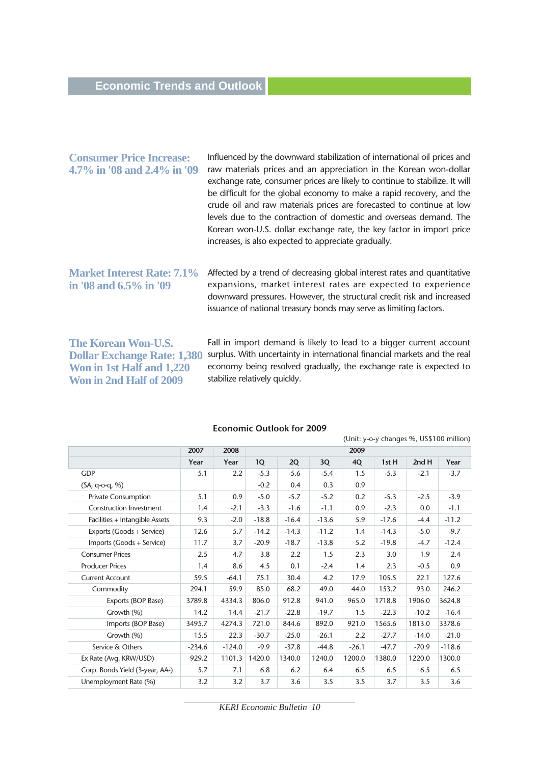| <b>Consumer Price Increase:</b><br>4.7% in '08 and 2.4% in '09 | Influenced by the downward stabilization of international oil prices and<br>raw materials prices and an appreciation in the Korean won-dollar<br>exchange rate, consumer prices are likely to continue to stabilize. It will<br>be difficult for the global economy to make a rapid recovery, and the<br>crude oil and raw materials prices are forecasted to continue at low<br>levels due to the contraction of domestic and overseas demand. The<br>Korean won-U.S. dollar exchange rate, the key factor in import price<br>increases, is also expected to appreciate gradually. |
|----------------------------------------------------------------|-------------------------------------------------------------------------------------------------------------------------------------------------------------------------------------------------------------------------------------------------------------------------------------------------------------------------------------------------------------------------------------------------------------------------------------------------------------------------------------------------------------------------------------------------------------------------------------|
| <b>Market Interest Rate: 7.1%</b><br>in '08 and 6.5% in '09    | Affected by a trend of decreasing global interest rates and quantitative<br>expansions, market interest rates are expected to experience<br>downward pressures. However, the structural credit risk and increased<br>issuance of national treasury bonds may serve as limiting factors.                                                                                                                                                                                                                                                                                             |

**The Korean Won-U.S. Dollar Exchange Rate: 1,380 Won in 1st Half and 1,220 Won in 2nd Half of 2009** 

Fall in import demand is likely to lead to a bigger current account surplus. With uncertainty in international financial markets and the real economy being resolved gradually, the exchange rate is expected to stabilize relatively quickly.

|                                 |          |          |         |         |         |         |         |         | (Unit: y-o-y changes %, US\$100 million) |
|---------------------------------|----------|----------|---------|---------|---------|---------|---------|---------|------------------------------------------|
|                                 | 2007     | 2008     |         | 2009    |         |         |         |         |                                          |
|                                 | Year     | Year     | 1Q      | 2Q      | 3Q      | 4Q      | 1st H   | 2ndH    | Year                                     |
| <b>GDP</b>                      | 5.1      | 2.2      | $-5.3$  | $-5.6$  | $-5.4$  | 1.5     | $-5.3$  | $-2.1$  | $-3.7$                                   |
| (SA, q-o-q, %)                  |          |          | $-0.2$  | 0.4     | 0.3     | 0.9     |         |         |                                          |
| <b>Private Consumption</b>      | 5.1      | 0.9      | $-5.0$  | $-5.7$  | $-5.2$  | 0.2     | $-5.3$  | $-2.5$  | $-3.9$                                   |
| <b>Construction Investment</b>  | 1.4      | $-2.1$   | $-3.3$  | $-1.6$  | $-1.1$  | 0.9     | $-2.3$  | 0.0     | $-1.1$                                   |
| Facilities + Intangible Assets  | 9.3      | $-2.0$   | $-18.8$ | $-16.4$ | $-13.6$ | 5.9     | $-17.6$ | $-4.4$  | $-11.2$                                  |
| Exports (Goods + Service)       | 12.6     | 5.7      | $-14.2$ | $-14.3$ | $-11.2$ | 1.4     | $-14.3$ | $-5.0$  | $-9.7$                                   |
| Imports (Goods + Service)       | 11.7     | 3.7      | $-20.9$ | $-18.7$ | $-13.8$ | 5.2     | $-19.8$ | $-4.7$  | $-12.4$                                  |
| <b>Consumer Prices</b>          | 2.5      | 4.7      | 3.8     | 2.2     | 1.5     | 2.3     | 3.0     | 1.9     | 2.4                                      |
| <b>Producer Prices</b>          | 1.4      | 8.6      | 4.5     | 0.1     | $-2.4$  | 1.4     | 2.3     | $-0.5$  | 0.9                                      |
| <b>Current Account</b>          | 59.5     | $-64.1$  | 75.1    | 30.4    | 4.2     | 17.9    | 105.5   | 22.1    | 127.6                                    |
| Commodity                       | 294.1    | 59.9     | 85.0    | 68.2    | 49.0    | 44.0    | 153.2   | 93.0    | 246.2                                    |
| Exports (BOP Base)              | 3789.8   | 4334.3   | 806.0   | 912.8   | 941.0   | 965.0   | 1718.8  | 1906.0  | 3624.8                                   |
| Growth (%)                      | 14.2     | 14.4     | $-21.7$ | $-22.8$ | $-19.7$ | 1.5     | $-22.3$ | $-10.2$ | $-16.4$                                  |
| Imports (BOP Base)              | 3495.7   | 4274.3   | 721.0   | 844.6   | 892.0   | 921.0   | 1565.6  | 1813.0  | 3378.6                                   |
| Growth (%)                      | 15.5     | 22.3     | $-30.7$ | $-25.0$ | $-26.1$ | 2.2     | $-27.7$ | $-14.0$ | $-21.0$                                  |
| Service & Others                | $-234.6$ | $-124.0$ | $-9.9$  | $-37.8$ | $-44.8$ | $-26.1$ | $-47.7$ | $-70.9$ | $-118.6$                                 |
| Ex Rate (Avg. KRW/USD)          | 929.2    | 1101.3   | 1420.0  | 1340.0  | 1240.0  | 1200.0  | 1380.0  | 1220.0  | 1300.0                                   |
| Corp. Bonds Yield (3-year, AA-) | 5.7      | 7.1      | 6.8     | 6.2     | 6.4     | 6.5     | 6.5     | 6.5     | 6.5                                      |
| Unemployment Rate (%)           | 3.2      | 3.2      | 3.7     | 3.6     | 3.5     | 3.5     | 3.7     | 3.5     | 3.6                                      |
|                                 |          |          |         |         |         |         |         |         |                                          |

#### **Economic Outlook for 2009**

*KERI Economic Bulletin 10*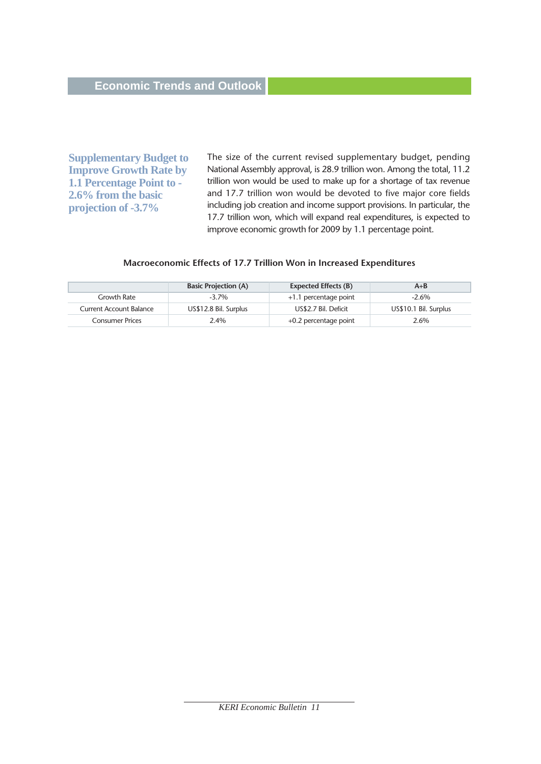**Supplementary Budget to Improve Growth Rate by 1.1 Percentage Point to - 2.6% from the basic projection of -3.7%** 

The size of the current revised supplementary budget, pending National Assembly approval, is 28.9 trillion won. Among the total, 11.2 trillion won would be used to make up for a shortage of tax revenue and 17.7 trillion won would be devoted to five major core fields including job creation and income support provisions. In particular, the 17.7 trillion won, which will expand real expenditures, is expected to improve economic growth for 2009 by 1.1 percentage point.

#### **Macroeconomic Effects of 17.7 Trillion Won in Increased Expenditures**

|                         | <b>Basic Projection (A)</b> | Expected Effects (B)    | $A + B$               |
|-------------------------|-----------------------------|-------------------------|-----------------------|
| Growth Rate             | $-3.7\%$                    | +1.1 percentage point   | $-2.6\%$              |
| Current Account Balance | US\$12.8 Bil. Surplus       | US\$2.7 Bil. Deficit    | US\$10.1 Bil. Surplus |
| <b>Consumer Prices</b>  | 2.4%                        | $+0.2$ percentage point | 2.6%                  |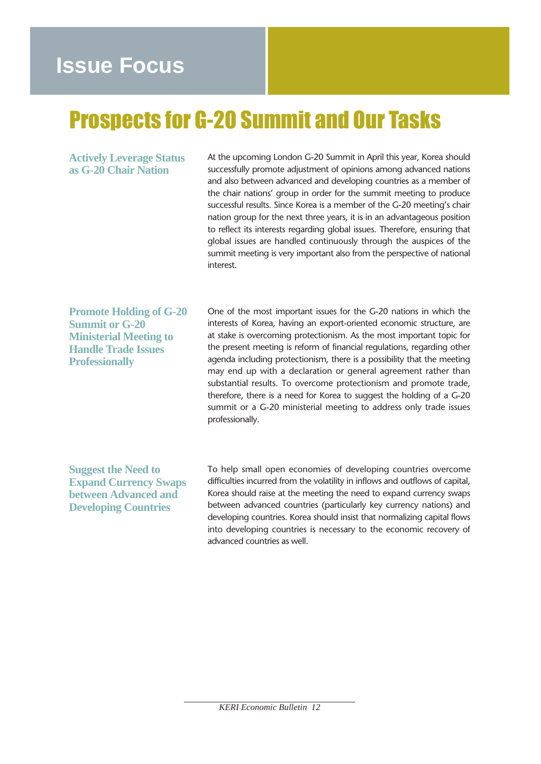# **Issue Focus**

# Prospects for G-20 Summit and Our Tasks

**Actively Leverage Status as G-20 Chair Nation** 

At the upcoming London G-20 Summit in April this year, Korea should successfully promote adjustment of opinions among advanced nations and also between advanced and developing countries as a member of the chair nations' group in order for the summit meeting to produce successful results. Since Korea is a member of the G-20 meeting's chair nation group for the next three years, it is in an advantageous position to reflect its interests regarding global issues. Therefore, ensuring that global issues are handled continuously through the auspices of the summit meeting is very important also from the perspective of national interest.

**Promote Holding of G-20 Summit or G-20 Ministerial Meeting to Handle Trade Issues Professionally**

One of the most important issues for the G-20 nations in which the interests of Korea, having an export-oriented economic structure, are at stake is overcoming protectionism. As the most important topic for the present meeting is reform of financial regulations, regarding other agenda including protectionism, there is a possibility that the meeting may end up with a declaration or general agreement rather than substantial results. To overcome protectionism and promote trade, therefore, there is a need for Korea to suggest the holding of a G-20 summit or a G-20 ministerial meeting to address only trade issues professionally.

**Suggest the Need to Expand Currency Swaps between Advanced and Developing Countries** 

To help small open economies of developing countries overcome difficulties incurred from the volatility in inflows and outflows of capital, Korea should raise at the meeting the need to expand currency swaps between advanced countries (particularly key currency nations) and developing countries. Korea should insist that normalizing capital flows into developing countries is necessary to the economic recovery of advanced countries as well.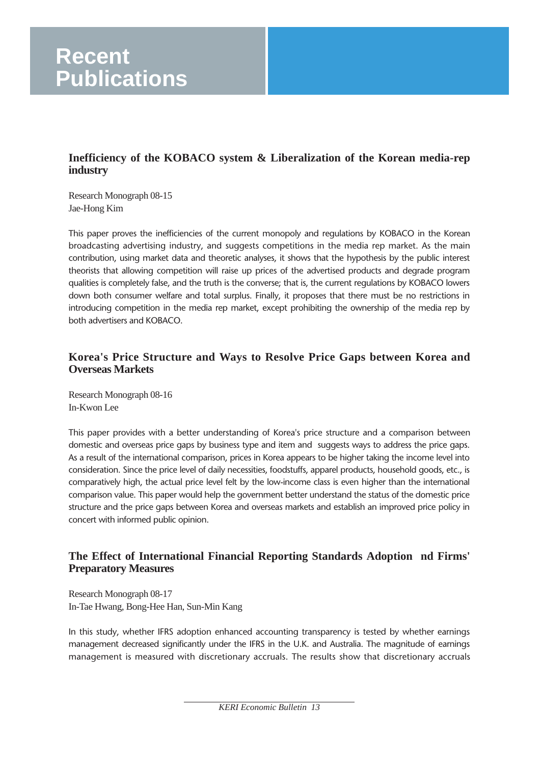#### **Inefficiency of the KOBACO system & Liberalization of the Korean media-rep industry**

Research Monograph 08-15 Jae-Hong Kim

This paper proves the inefficiencies of the current monopoly and regulations by KOBACO in the Korean broadcasting advertising industry, and suggests competitions in the media rep market. As the main contribution, using market data and theoretic analyses, it shows that the hypothesis by the public interest theorists that allowing competition will raise up prices of the advertised products and degrade program qualities is completely false, and the truth is the converse; that is, the current regulations by KOBACO lowers down both consumer welfare and total surplus. Finally, it proposes that there must be no restrictions in introducing competition in the media rep market, except prohibiting the ownership of the media rep by both advertisers and KOBACO.

## **Korea's Price Structure and Ways to Resolve Price Gaps between Korea and Overseas Markets**

Research Monograph 08-16 In-Kwon Lee

This paper provides with a better understanding of Korea's price structure and a comparison between domestic and overseas price gaps by business type and item and suggests ways to address the price gaps. As a result of the international comparison, prices in Korea appears to be higher taking the income level into consideration. Since the price level of daily necessities, foodstuffs, apparel products, household goods, etc., is comparatively high, the actual price level felt by the low-income class is even higher than the international comparison value. This paper would help the government better understand the status of the domestic price structure and the price gaps between Korea and overseas markets and establish an improved price policy in concert with informed public opinion.

#### **The Effect of International Financial Reporting Standards Adoption nd Firms' Preparatory Measures**

Research Monograph 08-17 In-Tae Hwang, Bong-Hee Han, Sun-Min Kang

In this study, whether IFRS adoption enhanced accounting transparency is tested by whether earnings management decreased significantly under the IFRS in the U.K. and Australia. The magnitude of earnings management is measured with discretionary accruals. The results show that discretionary accruals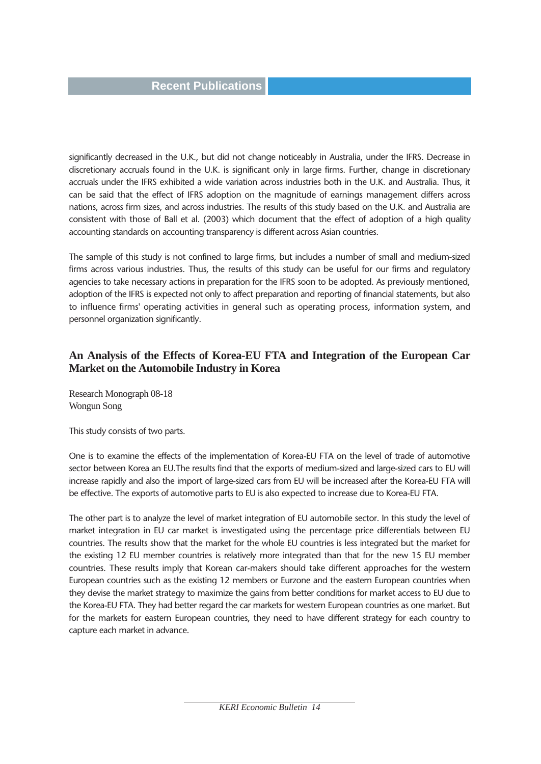significantly decreased in the U.K., but did not change noticeably in Australia, under the IFRS. Decrease in discretionary accruals found in the U.K. is significant only in large firms. Further, change in discretionary accruals under the IFRS exhibited a wide variation across industries both in the U.K. and Australia. Thus, it can be said that the effect of IFRS adoption on the magnitude of earnings management differs across nations, across firm sizes, and across industries. The results of this study based on the U.K. and Australia are consistent with those of Ball et al. (2003) which document that the effect of adoption of a high quality accounting standards on accounting transparency is different across Asian countries.

The sample of this study is not confined to large firms, but includes a number of small and medium-sized firms across various industries. Thus, the results of this study can be useful for our firms and regulatory agencies to take necessary actions in preparation for the IFRS soon to be adopted. As previously mentioned, adoption of the IFRS is expected not only to affect preparation and reporting of financial statements, but also to influence firms' operating activities in general such as operating process, information system, and personnel organization significantly.

#### **An Analysis of the Effects of Korea-EU FTA and Integration of the European Car Market on the Automobile Industry in Korea**

Research Monograph 08-18 Wongun Song

This study consists of two parts.

One is to examine the effects of the implementation of Korea-EU FTA on the level of trade of automotive sector between Korea an EU.The results find that the exports of medium-sized and large-sized cars to EU will increase rapidly and also the import of large-sized cars from EU will be increased after the Korea-EU FTA will be effective. The exports of automotive parts to EU is also expected to increase due to Korea-EU FTA.

The other part is to analyze the level of market integration of EU automobile sector. In this study the level of market integration in EU car market is investigated using the percentage price differentials between EU countries. The results show that the market for the whole EU countries is less integrated but the market for the existing 12 EU member countries is relatively more integrated than that for the new 15 EU member countries. These results imply that Korean car-makers should take different approaches for the western European countries such as the existing 12 members or Eurzone and the eastern European countries when they devise the market strategy to maximize the gains from better conditions for market access to EU due to the Korea-EU FTA. They had better regard the car markets for western European countries as one market. But for the markets for eastern European countries, they need to have different strategy for each country to capture each market in advance.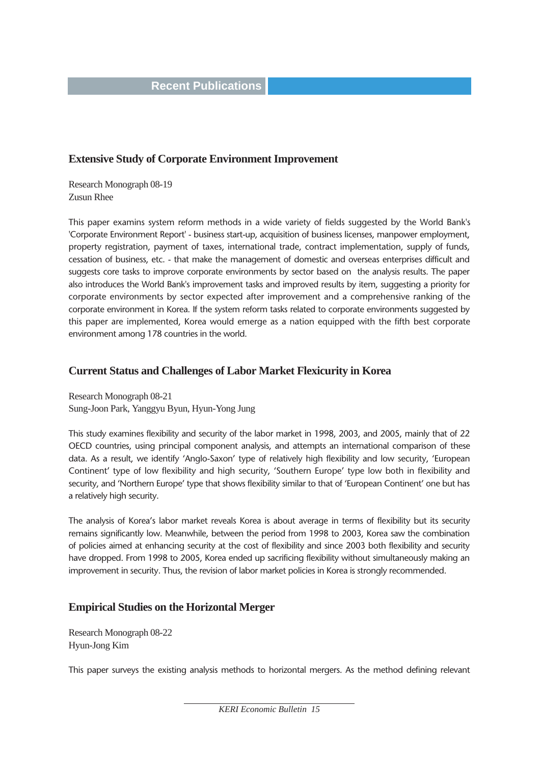#### **Extensive Study of Corporate Environment Improvement**

Research Monograph 08-19 Zusun Rhee

This paper examins system reform methods in a wide variety of fields suggested by the World Bank's 'Corporate Environment Report' - business start-up, acquisition of business licenses, manpower employment, property registration, payment of taxes, international trade, contract implementation, supply of funds, cessation of business, etc. - that make the management of domestic and overseas enterprises difficult and suggests core tasks to improve corporate environments by sector based on the analysis results. The paper also introduces the World Bank's improvement tasks and improved results by item, suggesting a priority for corporate environments by sector expected after improvement and a comprehensive ranking of the corporate environment in Korea. If the system reform tasks related to corporate environments suggested by this paper are implemented, Korea would emerge as a nation equipped with the fifth best corporate environment among 178 countries in the world.

#### **Current Status and Challenges of Labor Market Flexicurity in Korea**

Research Monograph 08-21 Sung-Joon Park, Yanggyu Byun, Hyun-Yong Jung

This study examines flexibility and security of the labor market in 1998, 2003, and 2005, mainly that of 22 OECD countries, using principal component analysis, and attempts an international comparison of these data. As a result, we identify 'Anglo-Saxon' type of relatively high flexibility and low security, 'European Continent' type of low flexibility and high security, 'Southern Europe' type low both in flexibility and security, and 'Northern Europe' type that shows flexibility similar to that of 'European Continent' one but has a relatively high security.

The analysis of Korea's labor market reveals Korea is about average in terms of flexibility but its security remains significantly low. Meanwhile, between the period from 1998 to 2003, Korea saw the combination of policies aimed at enhancing security at the cost of flexibility and since 2003 both flexibility and security have dropped. From 1998 to 2005, Korea ended up sacrificing flexibility without simultaneously making an improvement in security. Thus, the revision of labor market policies in Korea is strongly recommended.

#### **Empirical Studies on the Horizontal Merger**

Research Monograph 08-22 Hyun-Jong Kim

This paper surveys the existing analysis methods to horizontal mergers. As the method defining relevant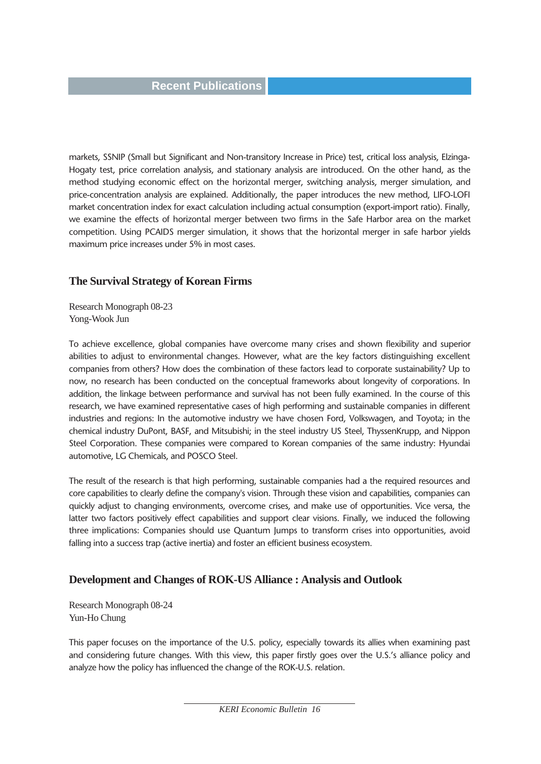markets, SSNIP (Small but Significant and Non-transitory Increase in Price) test, critical loss analysis, Elzinga-Hogaty test, price correlation analysis, and stationary analysis are introduced. On the other hand, as the method studying economic effect on the horizontal merger, switching analysis, merger simulation, and price-concentration analysis are explained. Additionally, the paper introduces the new method, LIFO-LOFI market concentration index for exact calculation including actual consumption (export-import ratio). Finally, we examine the effects of horizontal merger between two firms in the Safe Harbor area on the market competition. Using PCAIDS merger simulation, it shows that the horizontal merger in safe harbor yields maximum price increases under 5% in most cases.

#### **The Survival Strategy of Korean Firms**

Research Monograph 08-23 Yong-Wook Jun

To achieve excellence, global companies have overcome many crises and shown flexibility and superior abilities to adjust to environmental changes. However, what are the key factors distinguishing excellent companies from others? How does the combination of these factors lead to corporate sustainability? Up to now, no research has been conducted on the conceptual frameworks about longevity of corporations. In addition, the linkage between performance and survival has not been fully examined. In the course of this research, we have examined representative cases of high performing and sustainable companies in different industries and regions: In the automotive industry we have chosen Ford, Volkswagen, and Toyota; in the chemical industry DuPont, BASF, and Mitsubishi; in the steel industry US Steel, ThyssenKrupp, and Nippon Steel Corporation. These companies were compared to Korean companies of the same industry: Hyundai automotive, LG Chemicals, and POSCO Steel.

The result of the research is that high performing, sustainable companies had a the required resources and core capabilities to clearly define the company's vision. Through these vision and capabilities, companies can quickly adjust to changing environments, overcome crises, and make use of opportunities. Vice versa, the latter two factors positively effect capabilities and support clear visions. Finally, we induced the following three implications: Companies should use Quantum Jumps to transform crises into opportunities, avoid falling into a success trap (active inertia) and foster an efficient business ecosystem.

#### **Development and Changes of ROK-US Alliance : Analysis and Outlook**

Research Monograph 08-24 Yun-Ho Chung

This paper focuses on the importance of the U.S. policy, especially towards its allies when examining past and considering future changes. With this view, this paper firstly goes over the U.S.'s alliance policy and analyze how the policy has influenced the change of the ROK-U.S. relation.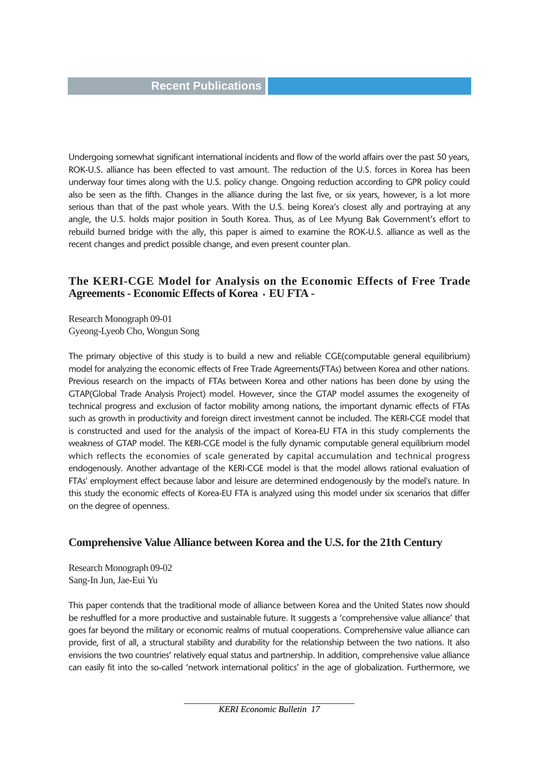Undergoing somewhat significant international incidents and flow of the world affairs over the past 50 years, ROK-U.S. alliance has been effected to vast amount. The reduction of the U.S. forces in Korea has been underway four times along with the U.S. policy change. Ongoing reduction according to GPR policy could also be seen as the fifth. Changes in the alliance during the last five, or six years, however, is a lot more serious than that of the past whole years. With the U.S. being Korea's closest ally and portraying at any angle, the U.S. holds major position in South Korea. Thus, as of Lee Myung Bak Government's effort to rebuild burned bridge with the ally, this paper is aimed to examine the ROK-U.S. alliance as well as the recent changes and predict possible change, and even present counter plan.

#### **The KERI-CGE Model for Analysis on the Economic Effects of Free Trade** Agreements - Economic Effects of Korea  $\cdot$  EU FTA -

Research Monograph 09-01 Gyeong-Lyeob Cho, Wongun Song

The primary objective of this study is to build a new and reliable CGE(computable general equilibrium) model for analyzing the economic effects of Free Trade Agreements(FTAs) between Korea and other nations. Previous research on the impacts of FTAs between Korea and other nations has been done by using the GTAP(Global Trade Analysis Project) model. However, since the GTAP model assumes the exogeneity of technical progress and exclusion of factor mobility among nations, the important dynamic effects of FTAs such as growth in productivity and foreign direct investment cannot be included. The KERI-CGE model that is constructed and used for the analysis of the impact of Korea-EU FTA in this study complements the weakness of GTAP model. The KERI-CGE model is the fully dynamic computable general equilibrium model which reflects the economies of scale generated by capital accumulation and technical progress endogenously. Another advantage of the KERI-CGE model is that the model allows rational evaluation of FTAs' employment effect because labor and leisure are determined endogenously by the model's nature. In this study the economic effects of Korea-EU FTA is analyzed using this model under six scenarios that differ on the degree of openness.

#### **Comprehensive Value Alliance between Korea and the U.S. for the 21th Century**

Research Monograph 09-02 Sang-In Jun, Jae-Eui Yu

This paper contends that the traditional mode of alliance between Korea and the United States now should be reshuffled for a more productive and sustainable future. It suggests a 'comprehensive value alliance' that goes far beyond the military or economic realms of mutual cooperations. Comprehensive value alliance can provide, first of all, a structural stability and durability for the relationship between the two nations. It also envisions the two countries' relatively equal status and partnership. In addition, comprehensive value alliance can easily fit into the so-called 'network international politics' in the age of globalization. Furthermore, we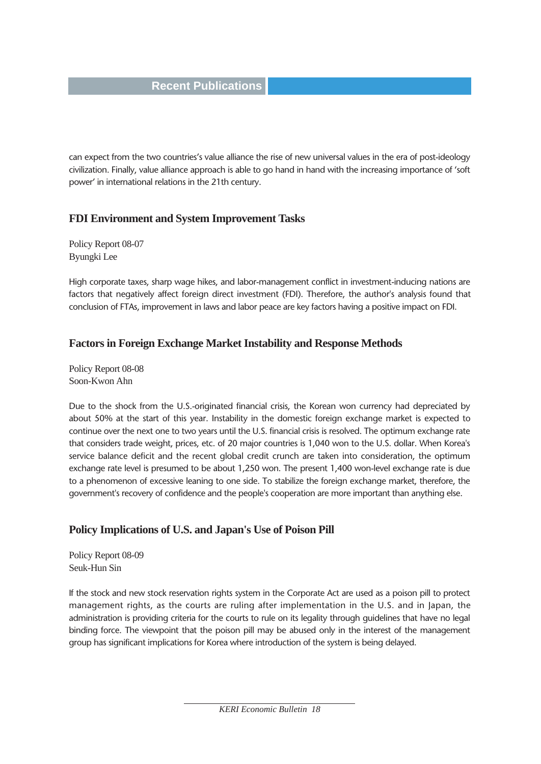can expect from the two countries's value alliance the rise of new universal values in the era of post-ideology civilization. Finally, value alliance approach is able to go hand in hand with the increasing importance of 'soft power' in international relations in the 21th century.

#### **FDI Environment and System Improvement Tasks**

Policy Report 08-07 Byungki Lee

High corporate taxes, sharp wage hikes, and labor-management conflict in investment-inducing nations are factors that negatively affect foreign direct investment (FDI). Therefore, the author's analysis found that conclusion of FTAs, improvement in laws and labor peace are key factors having a positive impact on FDI.

#### **Factors in Foreign Exchange Market Instability and Response Methods**

Policy Report 08-08 Soon-Kwon Ahn

Due to the shock from the U.S.-originated financial crisis, the Korean won currency had depreciated by about 50% at the start of this year. Instability in the domestic foreign exchange market is expected to continue over the next one to two years until the U.S. financial crisis is resolved. The optimum exchange rate that considers trade weight, prices, etc. of 20 major countries is 1,040 won to the U.S. dollar. When Korea's service balance deficit and the recent global credit crunch are taken into consideration, the optimum exchange rate level is presumed to be about 1,250 won. The present 1,400 won-level exchange rate is due to a phenomenon of excessive leaning to one side. To stabilize the foreign exchange market, therefore, the government's recovery of confidence and the people's cooperation are more important than anything else.

#### **Policy Implications of U.S. and Japan's Use of Poison Pill**

Policy Report 08-09 Seuk-Hun Sin

If the stock and new stock reservation rights system in the Corporate Act are used as a poison pill to protect management rights, as the courts are ruling after implementation in the U.S. and in Japan, the administration is providing criteria for the courts to rule on its legality through guidelines that have no legal binding force. The viewpoint that the poison pill may be abused only in the interest of the management group has significant implications for Korea where introduction of the system is being delayed.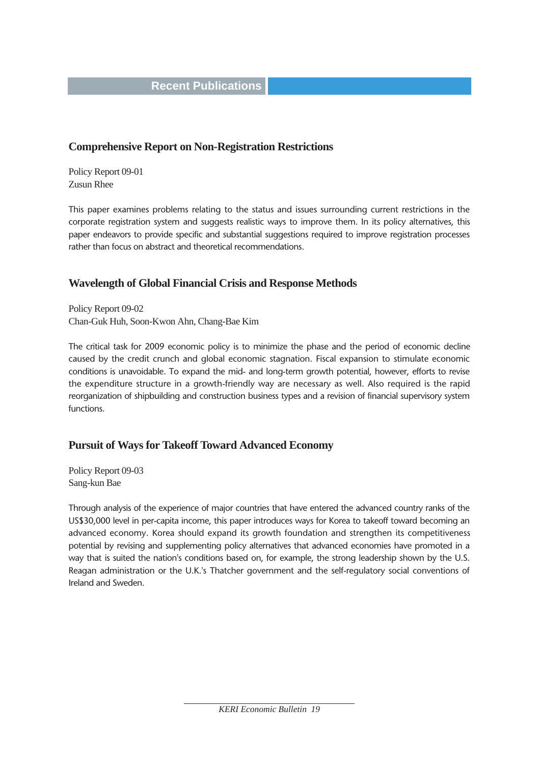#### **Comprehensive Report on Non-Registration Restrictions**

Policy Report 09-01 Zusun Rhee

This paper examines problems relating to the status and issues surrounding current restrictions in the corporate registration system and suggests realistic ways to improve them. In its policy alternatives, this paper endeavors to provide specific and substantial suggestions required to improve registration processes rather than focus on abstract and theoretical recommendations.

#### **Wavelength of Global Financial Crisis and Response Methods**

Policy Report 09-02 Chan-Guk Huh, Soon-Kwon Ahn, Chang-Bae Kim

The critical task for 2009 economic policy is to minimize the phase and the period of economic decline caused by the credit crunch and global economic stagnation. Fiscal expansion to stimulate economic conditions is unavoidable. To expand the mid- and long-term growth potential, however, efforts to revise the expenditure structure in a growth-friendly way are necessary as well. Also required is the rapid reorganization of shipbuilding and construction business types and a revision of financial supervisory system functions.

#### **Pursuit of Ways for Takeoff Toward Advanced Economy**

Policy Report 09-03 Sang-kun Bae

Through analysis of the experience of major countries that have entered the advanced country ranks of the US\$30,000 level in per-capita income, this paper introduces ways for Korea to takeoff toward becoming an advanced economy. Korea should expand its growth foundation and strengthen its competitiveness potential by revising and supplementing policy alternatives that advanced economies have promoted in a way that is suited the nation's conditions based on, for example, the strong leadership shown by the U.S. Reagan administration or the U.K.'s Thatcher government and the self-regulatory social conventions of Ireland and Sweden.